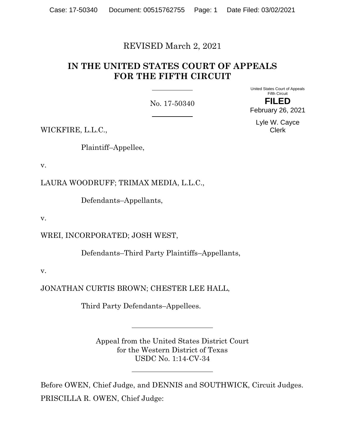# REVISED March 2, 2021

# **IN THE UNITED STATES COURT OF APPEALS FOR THE FIFTH CIRCUIT**

No. 17-50340

United States Court of Appeals Fifth Circuit **FILED**

February 26, 2021

Lyle W. Cayce Clerk

WICKFIRE, L.L.C.,

Plaintiff–Appellee,

v.

LAURA WOODRUFF; TRIMAX MEDIA, L.L.C.,

Defendants–Appellants,

v.

WREI, INCORPORATED; JOSH WEST,

Defendants–Third Party Plaintiffs–Appellants,

v.

JONATHAN CURTIS BROWN; CHESTER LEE HALL,

Third Party Defendants–Appellees.

Appeal from the United States District Court for the Western District of Texas USDC No. 1:14-CV-34

Before OWEN, Chief Judge, and DENNIS and SOUTHWICK, Circuit Judges. PRISCILLA R. OWEN, Chief Judge: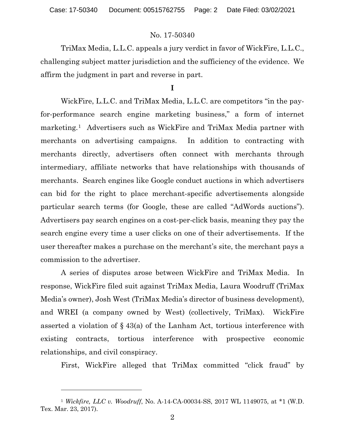TriMax Media, L.L.C. appeals a jury verdict in favor of WickFire, L.L.C., challenging subject matter jurisdiction and the sufficiency of the evidence. We affirm the judgment in part and reverse in part.

# **I**

WickFire, L.L.C. and TriMax Media, L.L.C. are competitors "in the payfor-performance search engine marketing business," a form of internet marketing.[1](#page-1-0) Advertisers such as WickFire and TriMax Media partner with merchants on advertising campaigns. In addition to contracting with merchants directly, advertisers often connect with merchants through intermediary, affiliate networks that have relationships with thousands of merchants. Search engines like Google conduct auctions in which advertisers can bid for the right to place merchant-specific advertisements alongside particular search terms (for Google, these are called "AdWords auctions"). Advertisers pay search engines on a cost-per-click basis, meaning they pay the search engine every time a user clicks on one of their advertisements. If the user thereafter makes a purchase on the merchant's site, the merchant pays a commission to the advertiser.

A series of disputes arose between WickFire and TriMax Media. In response, WickFire filed suit against TriMax Media, Laura Woodruff (TriMax Media's owner), Josh West (TriMax Media's director of business development), and WREI (a company owned by West) (collectively, TriMax). WickFire asserted a violation of § 43(a) of the Lanham Act, tortious interference with existing contracts, tortious interference with prospective economic relationships, and civil conspiracy.

First, WickFire alleged that TriMax committed "click fraud" by

<span id="page-1-0"></span><sup>1</sup> *Wickfire, LLC v. Woodruff*, No. A-14-CA-00034-SS, 2017 WL 1149075, at \*1 (W.D. Tex. Mar. 23, 2017).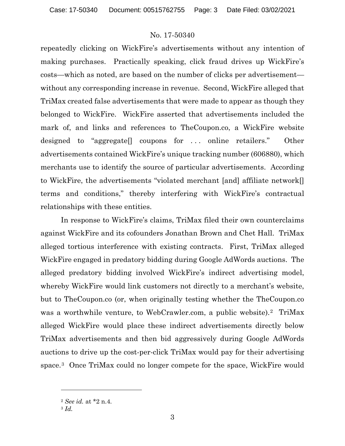repeatedly clicking on WickFire's advertisements without any intention of making purchases. Practically speaking, click fraud drives up WickFire's costs—which as noted, are based on the number of clicks per advertisement without any corresponding increase in revenue. Second, WickFire alleged that TriMax created false advertisements that were made to appear as though they belonged to WickFire. WickFire asserted that advertisements included the mark of, and links and references to TheCoupon.co, a WickFire website designed to "aggregate[] coupons for . . . online retailers." Other advertisements contained WickFire's unique tracking number (606880), which merchants use to identify the source of particular advertisements. According to WickFire, the advertisements "violated merchant [and] affiliate network[] terms and conditions," thereby interfering with WickFire's contractual relationships with these entities.

In response to WickFire's claims, TriMax filed their own counterclaims against WickFire and its cofounders Jonathan Brown and Chet Hall. TriMax alleged tortious interference with existing contracts. First, TriMax alleged WickFire engaged in predatory bidding during Google AdWords auctions. The alleged predatory bidding involved WickFire's indirect advertising model, whereby WickFire would link customers not directly to a merchant's website, but to TheCoupon.co (or, when originally testing whether the TheCoupon.co was a worthwhile venture, to WebCrawler.com, a public website).<sup>[2](#page-2-0)</sup> TriMax alleged WickFire would place these indirect advertisements directly below TriMax advertisements and then bid aggressively during Google AdWords auctions to drive up the cost-per-click TriMax would pay for their advertising space.[3](#page-2-1) Once TriMax could no longer compete for the space, WickFire would

<span id="page-2-0"></span><sup>2</sup> *See id.* at \*2 n.4.

<span id="page-2-1"></span><sup>3</sup> *Id.*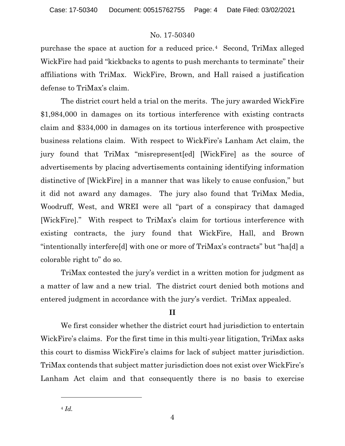purchase the space at auction for a reduced price.[4](#page-3-0) Second, TriMax alleged WickFire had paid "kickbacks to agents to push merchants to terminate" their affiliations with TriMax. WickFire, Brown, and Hall raised a justification defense to TriMax's claim.

The district court held a trial on the merits. The jury awarded WickFire \$1,984,000 in damages on its tortious interference with existing contracts claim and \$334,000 in damages on its tortious interference with prospective business relations claim. With respect to WickFire's Lanham Act claim, the jury found that TriMax "misrepresent[ed] [WickFire] as the source of advertisements by placing advertisements containing identifying information distinctive of [WickFire] in a manner that was likely to cause confusion," but it did not award any damages. The jury also found that TriMax Media, Woodruff, West, and WREI were all "part of a conspiracy that damaged [WickFire]." With respect to TriMax's claim for tortious interference with existing contracts, the jury found that WickFire, Hall, and Brown "intentionally interfere[d] with one or more of TriMax's contracts" but "ha[d] a colorable right to" do so.

TriMax contested the jury's verdict in a written motion for judgment as a matter of law and a new trial. The district court denied both motions and entered judgment in accordance with the jury's verdict. TriMax appealed.

# **II**

<span id="page-3-0"></span>We first consider whether the district court had jurisdiction to entertain WickFire's claims. For the first time in this multi-year litigation, TriMax asks this court to dismiss WickFire's claims for lack of subject matter jurisdiction. TriMax contends that subject matter jurisdiction does not exist over WickFire's Lanham Act claim and that consequently there is no basis to exercise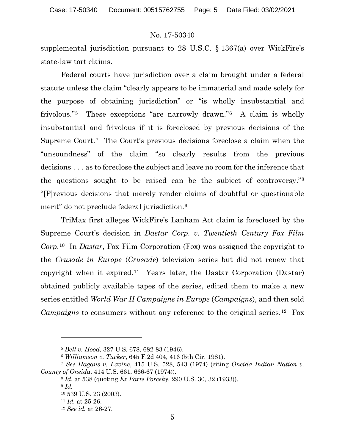supplemental jurisdiction pursuant to 28 U.S.C. § 1367(a) over WickFire's state-law tort claims.

Federal courts have jurisdiction over a claim brought under a federal statute unless the claim "clearly appears to be immaterial and made solely for the purpose of obtaining jurisdiction" or "is wholly insubstantial and frivolous."[5](#page-4-0) These exceptions "are narrowly drawn."[6](#page-4-1) A claim is wholly insubstantial and frivolous if it is foreclosed by previous decisions of the Supreme Court.[7](#page-4-2) The Court's previous decisions foreclose a claim when the "unsoundness" of the claim "so clearly results from the previous decisions . . . as to foreclose the subject and leave no room for the inference that the questions sought to be raised can be the subject of controversy."[8](#page-4-3) "[P]revious decisions that merely render claims of doubtful or questionable merit" do not preclude federal jurisdiction.<sup>[9](#page-4-4)</sup>

TriMax first alleges WickFire's Lanham Act claim is foreclosed by the Supreme Court's decision in *Dastar Corp. v. Twentieth Century Fox Film Corp*.[10](#page-4-5) In *Dastar*, Fox Film Corporation (Fox) was assigned the copyright to the *Crusade in Europe* (*Crusade*) television series but did not renew that copyright when it expired.<sup>[11](#page-4-6)</sup> Years later, the Dastar Corporation (Dastar) obtained publicly available tapes of the series, edited them to make a new series entitled *World War II Campaigns in Europe* (*Campaigns*), and then sold *Campaigns* to consumers without any reference to the original series.[12](#page-4-7) Fox

<sup>5</sup> *Bell v. Hood*, 327 U.S. 678, 682-83 (1946).

<sup>6</sup> *Williamson v. Tucker*, 645 F.2d 404, 416 (5th Cir. 1981).

<span id="page-4-7"></span><span id="page-4-6"></span><span id="page-4-5"></span><span id="page-4-4"></span><span id="page-4-3"></span><span id="page-4-2"></span><span id="page-4-1"></span><span id="page-4-0"></span><sup>7</sup> *See Hagans v. Lavine*, 415 U.S. 528, 543 (1974) (citing *Oneida Indian Nation v. County of Oneida*, 414 U.S. 661, 666-67 (1974)).

<sup>8</sup> *Id.* at 538 (quoting *Ex Parte Poresky*, 290 U.S. 30, 32 (1933)).

<sup>9</sup> *Id.*

<sup>10</sup> 539 U.S. 23 (2003).

<sup>11</sup> *Id.* at 25-26.

<sup>12</sup> *See id.* at 26-27.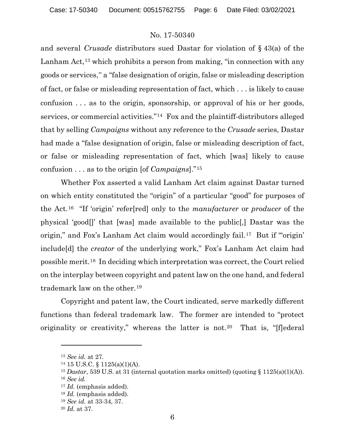and several *Crusade* distributors sued Dastar for violation of § 43(a) of the Lanham Act,<sup>[13](#page-5-0)</sup> which prohibits a person from making, "in connection with any goods or services," a "false designation of origin, false or misleading description of fact, or false or misleading representation of fact, which . . . is likely to cause confusion . . . as to the origin, sponsorship, or approval of his or her goods, services, or commercial activities."[14](#page-5-1) Fox and the plaintiff-distributors alleged that by selling *Campaigns* without any reference to the *Crusade* series, Dastar had made a "false designation of origin, false or misleading description of fact, or false or misleading representation of fact, which [was] likely to cause confusion . . . as to the origin [of *Campaigns*]."[15](#page-5-2)

Whether Fox asserted a valid Lanham Act claim against Dastar turned on which entity constituted the "origin" of a particular "good" for purposes of the Act.[16](#page-5-3) "If 'origin' refer[red] only to the *manufacturer* or *producer* of the physical 'good[]' that [was] made available to the public[,] Dastar was the origin," and Fox's Lanham Act claim would accordingly fail.<sup>[17](#page-5-4)</sup> But if "origin' include[d] the *creator* of the underlying work," Fox's Lanham Act claim had possible merit.[18](#page-5-5) In deciding which interpretation was correct, the Court relied on the interplay between copyright and patent law on the one hand, and federal trademark law on the other.[19](#page-5-6)

Copyright and patent law, the Court indicated, serve markedly different functions than federal trademark law. The former are intended to "protect originality or creativity," whereas the latter is not.<sup>[20](#page-5-7)</sup> That is, "[f]ederal

<span id="page-5-0"></span><sup>13</sup> *See id.* at 27.

<span id="page-5-1"></span> $14$  15 U.S.C. § 1125(a)(1)(A).

<span id="page-5-3"></span><span id="page-5-2"></span><sup>&</sup>lt;sup>15</sup> *Dastar*, 539 U.S. at 31 (internal quotation marks omitted) (quoting § 1125(a)(1)(A)). <sup>16</sup> *See id.*

<span id="page-5-4"></span><sup>17</sup> *Id.* (emphasis added).

<span id="page-5-5"></span><sup>18</sup> *Id.* (emphasis added).

<span id="page-5-6"></span><sup>19</sup> *See id.* at 33-34, 37.

<span id="page-5-7"></span><sup>20</sup> *Id.* at 37.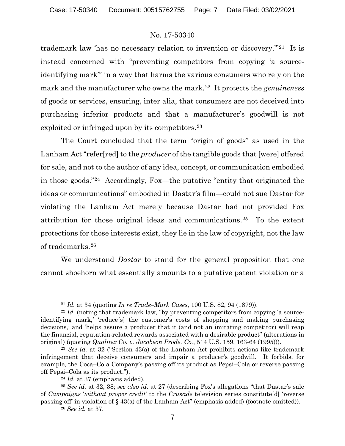trademark law 'has no necessary relation to invention or discovery.'"[21](#page-6-0) It is instead concerned with "preventing competitors from copying 'a sourceidentifying mark'" in a way that harms the various consumers who rely on the mark and the manufacturer who owns the mark.[22](#page-6-1) It protects the *genuineness* of goods or services, ensuring, inter alia, that consumers are not deceived into purchasing inferior products and that a manufacturer's goodwill is not exploited or infringed upon by its competitors.<sup>[23](#page-6-2)</sup>

The Court concluded that the term "origin of goods" as used in the Lanham Act "refer[red] to the *producer* of the tangible goods that [were] offered for sale, and not to the author of any idea, concept, or communication embodied in those goods."[24](#page-6-3) Accordingly, Fox—the putative "entity that originated the ideas or communications" embodied in Dastar's film—could not sue Dastar for violating the Lanham Act merely because Dastar had not provided Fox attribution for those original ideas and communications.[25](#page-6-4) To the extent protections for those interests exist, they lie in the law of copyright, not the law of trademarks.[26](#page-6-5)

We understand *Dastar* to stand for the general proposition that one cannot shoehorn what essentially amounts to a putative patent violation or a

<sup>21</sup> *Id.* at 34 (quoting *In re Trade–Mark Cases*, 100 U.S. 82, 94 (1879)).

<span id="page-6-1"></span><span id="page-6-0"></span><sup>&</sup>lt;sup>22</sup> *Id.* (noting that trademark law, "by preventing competitors from copying 'a sourceidentifying mark,' 'reduce[s] the customer's costs of shopping and making purchasing decisions,' and 'helps assure a producer that it (and not an imitating competitor) will reap the financial, reputation-related rewards associated with a desirable product" (alterations in original) (quoting *Qualitex Co. v. Jacobson Prods. Co.*, 514 U.S. 159, 163-64 (1995))).

<span id="page-6-2"></span><sup>23</sup> *See id.* at 32 ("Section 43(a) of the Lanham Act prohibits actions like trademark infringement that deceive consumers and impair a producer's goodwill. It forbids, for example, the Coca–Cola Company's passing off its product as Pepsi–Cola or reverse passing off Pepsi–Cola as its product.").

<sup>24</sup> *Id.* at 37 (emphasis added).

<span id="page-6-5"></span><span id="page-6-4"></span><span id="page-6-3"></span><sup>25</sup> *See id.* at 32, 38; *see also id.* at 27 (describing Fox's allegations "that Dastar's sale of *Campaigns* '*without proper credit*' to the *Crusade* television series constitute[d] 'reverse passing off' in violation of § 43(a) of the Lanham Act" (emphasis added) (footnote omitted)).

<sup>26</sup> *See id.* at 37.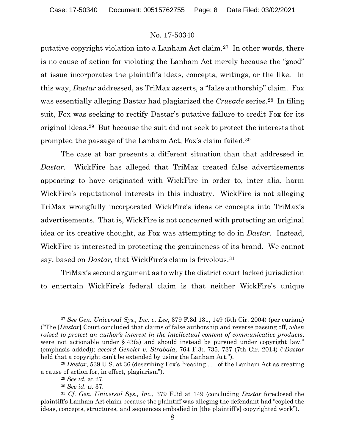putative copyright violation into a Lanham Act claim.[27](#page-7-0) In other words, there is no cause of action for violating the Lanham Act merely because the "good" at issue incorporates the plaintiff's ideas, concepts, writings, or the like. In this way, *Dastar* addressed, as TriMax asserts, a "false authorship" claim. Fox was essentially alleging Dastar had plagiarized the *Crusade* series.[28](#page-7-1) In filing suit, Fox was seeking to rectify Dastar's putative failure to credit Fox for its original ideas.[29](#page-7-2) But because the suit did not seek to protect the interests that prompted the passage of the Lanham Act, Fox's claim failed.[30](#page-7-3)

The case at bar presents a different situation than that addressed in *Dastar*. WickFire has alleged that TriMax created false advertisements appearing to have originated with WickFire in order to, inter alia, harm WickFire's reputational interests in this industry. WickFire is not alleging TriMax wrongfully incorporated WickFire's ideas or concepts into TriMax's advertisements. That is, WickFire is not concerned with protecting an original idea or its creative thought, as Fox was attempting to do in *Dastar*. Instead, WickFire is interested in protecting the genuineness of its brand. We cannot say, based on *Dastar,* that WickFire's claim is frivolous.[31](#page-7-4)

TriMax's second argument as to why the district court lacked jurisdiction to entertain WickFire's federal claim is that neither WickFire's unique

<span id="page-7-0"></span><sup>27</sup> *See Gen. Universal Sys., Inc. v. Lee*, 379 F.3d 131, 149 (5th Cir. 2004) (per curiam) ("The [*Dastar*] Court concluded that claims of false authorship and reverse passing off, *when raised to protect an author's interest in the intellectual content of communicative products*, were not actionable under  $\S$  43(a) and should instead be pursued under copyright law." (emphasis added)); *accord Gensler v. Strabala*, 764 F.3d 735, 737 (7th Cir. 2014) ("*Dastar* held that a copyright can't be extended by using the Lanham Act.").

<span id="page-7-2"></span><span id="page-7-1"></span><sup>&</sup>lt;sup>28</sup> *Dastar*, 539 U.S. at 36 (describing Fox's "reading . . . of the Lanham Act as creating a cause of action for, in effect, plagiarism").

<sup>29</sup> *See id.* at 27.

<sup>30</sup> *See id*. at 37.

<span id="page-7-4"></span><span id="page-7-3"></span><sup>31</sup> *Cf. Gen. Universal Sys., Inc.*, 379 F.3d at 149 (concluding *Dastar* foreclosed the plaintiff's Lanham Act claim because the plaintiff was alleging the defendant had "copied the ideas, concepts, structures, and sequences embodied in [the plaintiff's] copyrighted work").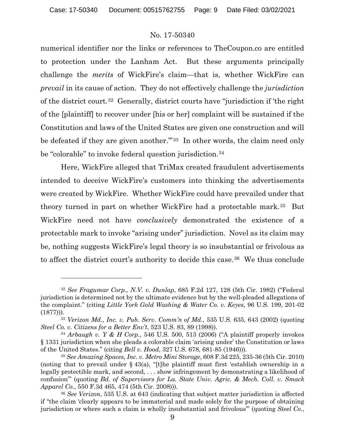numerical identifier nor the links or references to TheCoupon.co are entitled to protection under the Lanham Act. But these arguments principally challenge the *merits* of WickFire's claim—that is, whether WickFire can *prevail* in its cause of action. They do not effectively challenge the *jurisdiction* of the district court.[32](#page-8-0) Generally, district courts have "jurisdiction if 'the right of the [plaintiff] to recover under [his or her] complaint will be sustained if the Constitution and laws of the United States are given one construction and will be defeated if they are given another.'"[33](#page-8-1) In other words, the claim need only be "colorable" to invoke federal question jurisdiction.<sup>[34](#page-8-2)</sup>

Here, WickFire alleged that TriMax created fraudulent advertisements intended to deceive WickFire's customers into thinking the advertisements were created by WickFire. Whether WickFire could have prevailed under that theory turned in part on whether WickFire had a protectable mark.[35](#page-8-3) But WickFire need not have *conclusively* demonstrated the existence of a protectable mark to invoke "arising under" jurisdiction. Novel as its claim may be, nothing suggests WickFire's legal theory is so insubstantial or frivolous as to affect the district court's authority to decide this case.[36](#page-8-4) We thus conclude

<span id="page-8-0"></span><sup>32</sup> *See Fragumar Corp., N.V. v. Dunlap*, 685 F.2d 127, 128 (5th Cir. 1982) ("Federal jurisdiction is determined not by the ultimate evidence but by the well-pleaded allegations of the complaint." (citing *Little York Gold Washing & Water Co. v. Keyes*, 96 U.S. 199, 201-02  $(1877))$ .

<span id="page-8-1"></span><sup>33</sup> *Verizon Md., Inc. v. Pub. Serv. Comm'n of Md.*, 535 U.S. 635, 643 (2002) (quoting *Steel Co. v. Citizens for a Better Env't*, 523 U.S. 83, 89 (1998)).

<span id="page-8-2"></span><sup>34</sup> *Arbaugh v. Y & H Corp.*, 546 U.S. 500, 513 (2006) ("A plaintiff properly invokes § 1331 jurisdiction when she pleads a colorable claim 'arising under' the Constitution or laws of the United States." (citing *Bell v. Hood*, 327 U.S. 678, 681-85 (1946))).

<span id="page-8-3"></span><sup>35</sup> *See Amazing Spaces, Inc. v. Metro Mini Storage*, 608 F.3d 225, 235-36 (5th Cir. 2010) (noting that to prevail under § 43(a), "[t]he plaintiff must first 'establish ownership in a legally protectible mark, and second, . . . show infringement by demonstrating a likelihood of confusion'" (quoting *Bd. of Supervisors for La. State Univ. Agric. & Mech. Coll. v. Smack Apparel Co.*, 550 F.3d 465, 474 (5th Cir. 2008))).

<span id="page-8-4"></span><sup>36</sup> *See Verizon*, 535 U.S. at 643 (indicating that subject matter jurisdiction is affected if "the claim 'clearly appears to be immaterial and made solely for the purpose of obtaining jurisdiction or where such a claim is wholly insubstantial and frivolous'" (quoting *Steel Co.*,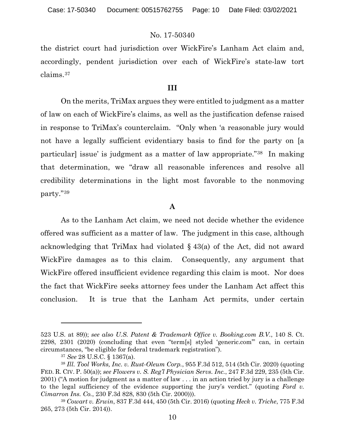the district court had jurisdiction over WickFire's Lanham Act claim and, accordingly, pendent jurisdiction over each of WickFire's state-law tort claims.[37](#page-9-0)

# **III**

On the merits, TriMax argues they were entitled to judgment as a matter of law on each of WickFire's claims, as well as the justification defense raised in response to TriMax's counterclaim. "Only when 'a reasonable jury would not have a legally sufficient evidentiary basis to find for the party on [a particular] issue' is judgment as a matter of law appropriate."[38](#page-9-1) In making that determination, we "draw all reasonable inferences and resolve all credibility determinations in the light most favorable to the nonmoving party."[39](#page-9-2)

#### **A**

As to the Lanham Act claim, we need not decide whether the evidence offered was sufficient as a matter of law. The judgment in this case, although acknowledging that TriMax had violated § 43(a) of the Act, did not award WickFire damages as to this claim. Consequently, any argument that WickFire offered insufficient evidence regarding this claim is moot. Nor does the fact that WickFire seeks attorney fees under the Lanham Act affect this conclusion. It is true that the Lanham Act permits, under certain

<sup>523</sup> U.S. at 89)); *see also U.S. Patent & Trademark Office v. Booking.com B.V.*, 140 S. Ct. 2298, 2301 (2020) (concluding that even "term[s] styled 'generic.com'" can, in certain circumstances, "be eligible for federal trademark registration").

<sup>37</sup> *See* 28 U.S.C. § 1367(a).

<span id="page-9-1"></span><span id="page-9-0"></span><sup>38</sup> *Ill. Tool Works, Inc. v. Rust-Oleum Corp.*, 955 F.3d 512, 514 (5th Cir. 2020) (quoting FED. R. CIV. P. 50(a)); *see Flowers v. S. Reg'l Physician Servs. Inc.*, 247 F.3d 229, 235 (5th Cir. 2001) ("A motion for judgment as a matter of law . . . in an action tried by jury is a challenge to the legal sufficiency of the evidence supporting the jury's verdict." (quoting *Ford v. Cimarron Ins. Co.*, 230 F.3d 828, 830 (5th Cir. 2000))).

<span id="page-9-2"></span><sup>39</sup> *Cowart v. Erwin*, 837 F.3d 444, 450 (5th Cir. 2016) (quoting *Heck v. Triche*, 775 F.3d 265, 273 (5th Cir. 2014)).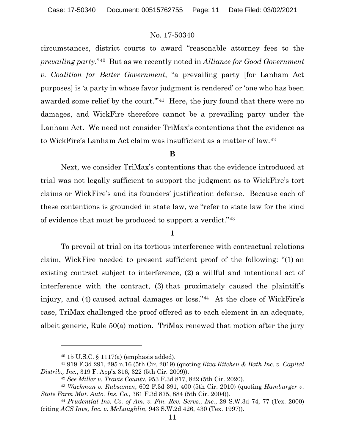circumstances, district courts to award "reasonable attorney fees to the *prevailing party*."[40](#page-10-0) But as we recently noted in *Alliance for Good Government v. Coalition for Better Government*, "a prevailing party [for Lanham Act purposes] is 'a party in whose favor judgment is rendered' or 'one who has been awarded some relief by the court."<sup>41</sup> Here, the jury found that there were no damages, and WickFire therefore cannot be a prevailing party under the Lanham Act. We need not consider TriMax's contentions that the evidence as to WickFire's Lanham Act claim was insufficient as a matter of law.[42](#page-10-2)

#### **B**

Next, we consider TriMax's contentions that the evidence introduced at trial was not legally sufficient to support the judgment as to WickFire's tort claims or WickFire's and its founders' justification defense. Because each of these contentions is grounded in state law, we "refer to state law for the kind of evidence that must be produced to support a verdict."[43](#page-10-3)

#### **1**

To prevail at trial on its tortious interference with contractual relations claim, WickFire needed to present sufficient proof of the following: "(1) an existing contract subject to interference, (2) a willful and intentional act of interference with the contract, (3) that proximately caused the plaintiff's injury, and (4) caused actual damages or loss."<sup>44</sup> At the close of WickFire's case, TriMax challenged the proof offered as to each element in an adequate, albeit generic, Rule 50(a) motion. TriMax renewed that motion after the jury

<sup>40</sup> 15 U.S.C. § 1117(a) (emphasis added).

<span id="page-10-1"></span><span id="page-10-0"></span><sup>41</sup> 919 F.3d 291, 295 n.16 (5th Cir. 2019) (quoting *Kiva Kitchen & Bath Inc. v. Capital Distrib., Inc.*, 319 F. App'x 316, 322 (5th Cir. 2009)).

<sup>42</sup> *See Miller v. Travis County*, 953 F.3d 817, 822 (5th Cir. 2020).

<span id="page-10-3"></span><span id="page-10-2"></span><sup>43</sup> *Wackman v. Rubsamen*, 602 F.3d 391, 400 (5th Cir. 2010) (quoting *Hamburger v. State Farm Mut. Auto. Ins. Co.*, 361 F.3d 875, 884 (5th Cir. 2004)).

<span id="page-10-4"></span><sup>44</sup> *Prudential Ins. Co. of Am. v. Fin. Rev. Servs., Inc.*, 29 S.W.3d 74, 77 (Tex. 2000) (citing *ACS Invs, Inc. v. McLaughlin*, 943 S.W.2d 426, 430 (Tex. 1997)).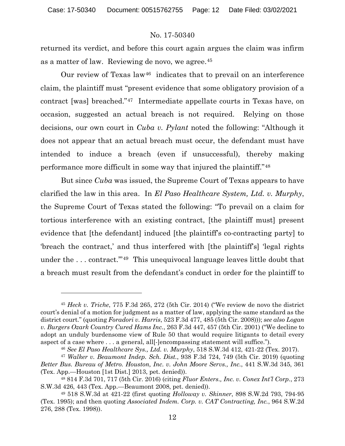returned its verdict, and before this court again argues the claim was infirm as a matter of law. Reviewing de novo, we agree.[45](#page-11-0)

Our review of Texas law<sup>[46](#page-11-1)</sup> indicates that to prevail on an interference claim, the plaintiff must "present evidence that some obligatory provision of a contract [was] breached."[47](#page-11-2) Intermediate appellate courts in Texas have, on occasion, suggested an actual breach is not required. Relying on those decisions, our own court in *Cuba v. Pylant* noted the following: "Although it does not appear that an actual breach must occur, the defendant must have intended to induce a breach (even if unsuccessful), thereby making performance more difficult in some way that injured the plaintiff."[48](#page-11-3)

But since *Cuba* was issued, the Supreme Court of Texas appears to have clarified the law in this area. In *El Paso Healthcare System, Ltd. v. Murphy*, the Supreme Court of Texas stated the following: "To prevail on a claim for tortious interference with an existing contract, [the plaintiff must] present evidence that [the defendant] induced [the plaintiff's co-contracting party] to 'breach the contract,' and thus interfered with [the plaintiff's] 'legal rights under the . . . contract.'"[49](#page-11-4) This unequivocal language leaves little doubt that a breach must result from the defendant's conduct in order for the plaintiff to

<span id="page-11-0"></span><sup>45</sup> *Heck v. Triche*, 775 F.3d 265, 272 (5th Cir. 2014) ("We review de novo the district court's denial of a motion for judgment as a matter of law, applying the same standard as the district court." (quoting *Foradori v. Harris*, 523 F.3d 477, 485 (5th Cir. 2008))); *see also Logan v. Burgers Ozark Country Cured Hams Inc.*, 263 F.3d 447, 457 (5th Cir. 2001) ("We decline to adopt an unduly burdensome view of Rule 50 that would require litigants to detail every aspect of a case where . . . a general, all[-]encompassing statement will suffice.").

<sup>46</sup> *See El Paso Healthcare Sys., Ltd. v. Murphy*, 518 S.W.3d 412, 421-22 (Tex. 2017).

<span id="page-11-2"></span><span id="page-11-1"></span><sup>47</sup> *Walker v. Beaumont Indep. Sch. Dist.*, 938 F.3d 724, 749 (5th Cir. 2019) (quoting *Better Bus. Bureau of Metro. Houston, Inc. v. John Moore Servs., Inc.*, 441 S.W.3d 345, 361 (Tex. App.—Houston [1st Dist.] 2013, pet. denied)).

<span id="page-11-3"></span><sup>48</sup> 814 F.3d 701, 717 (5th Cir. 2016) (citing *Fluor Enters., Inc. v. Conex Int'l Corp.*, 273 S.W.3d 426, 443 (Tex. App.—Beaumont 2008, pet. denied)).

<span id="page-11-4"></span><sup>49</sup> 518 S.W.3d at 421-22 (first quoting *Holloway v. Skinner*, 898 S.W.2d 793, 794-95 (Tex. 1995); and then quoting *Associated Indem. Corp. v. CAT Contracting, Inc.*, 964 S.W.2d 276, 288 (Tex. 1998)).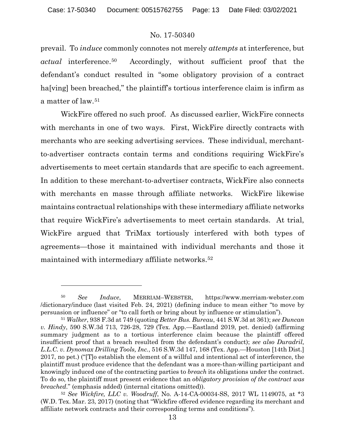prevail. To *induce* commonly connotes not merely *attempts* at interference, but *actual* interference.[50](#page-12-0) Accordingly, without sufficient proof that the defendant's conduct resulted in "some obligatory provision of a contract ha<sup>[ving]</sup> been breached," the plaintiff's tortious interference claim is infirm as a matter of law.[51](#page-12-1)

WickFire offered no such proof. As discussed earlier, WickFire connects with merchants in one of two ways. First, WickFire directly contracts with merchants who are seeking advertising services. These individual, merchantto-advertiser contracts contain terms and conditions requiring WickFire's advertisements to meet certain standards that are specific to each agreement. In addition to these merchant-to-advertiser contracts, WickFire also connects with merchants en masse through affiliate networks. WickFire likewise maintains contractual relationships with these intermediary affiliate networks that require WickFire's advertisements to meet certain standards. At trial, WickFire argued that TriMax tortiously interfered with both types of agreements—those it maintained with individual merchants and those it maintained with intermediary affiliate networks.[52](#page-12-2)

<span id="page-12-0"></span><sup>50</sup> *See Induce*, MERRIAM–WEBSTER, https://www.merriam-webster.com /dictionary/induce (last visited Feb. 24, 2021) (defining induce to mean either "to move by persuasion or influence" or "to call forth or bring about by influence or stimulation").

<span id="page-12-1"></span><sup>51</sup> *Walker*, 938 F.3d at 749 (quoting *Better Bus. Bureau*, 441 S.W.3d at 361); *see Duncan v. Hindy*, 590 S.W.3d 713, 726-28, 729 (Tex. App.—Eastland 2019, pet. denied) (affirming summary judgment as to a tortious interference claim because the plaintiff offered insufficient proof that a breach resulted from the defendant's conduct); *see also Duradril, L.L.C. v. Dynomax Drilling Tools, Inc.*, 516 S.W.3d 147, 168 (Tex. App.—Houston [14th Dist.] 2017, no pet.) ("[T]o establish the element of a willful and intentional act of interference, the plaintiff must produce evidence that the defendant was a more-than-willing participant and knowingly induced one of the contracting parties to *breach* its obligations under the contract. To do so, the plaintiff must present evidence that an *obligatory provision of the contract was breached*." (emphasis added) (internal citations omitted)).

<span id="page-12-2"></span><sup>52</sup> *See Wickfire, LLC v. Woodruff*, No. A-14-CA-00034-SS, 2017 WL 1149075, at \*3 (W.D. Tex. Mar. 23, 2017) (noting that "Wickfire offered evidence regarding its merchant and affiliate network contracts and their corresponding terms and conditions").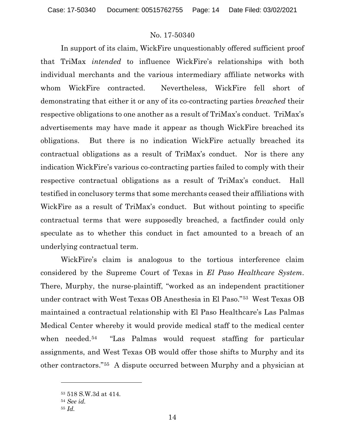In support of its claim, WickFire unquestionably offered sufficient proof that TriMax *intended* to influence WickFire's relationships with both individual merchants and the various intermediary affiliate networks with whom WickFire contracted. Nevertheless, WickFire fell short of demonstrating that either it or any of its co-contracting parties *breached* their respective obligations to one another as a result of TriMax's conduct. TriMax's advertisements may have made it appear as though WickFire breached its obligations. But there is no indication WickFire actually breached its contractual obligations as a result of TriMax's conduct. Nor is there any indication WickFire's various co-contracting parties failed to comply with their respective contractual obligations as a result of TriMax's conduct. Hall testified in conclusory terms that some merchants ceased their affiliations with WickFire as a result of TriMax's conduct. But without pointing to specific contractual terms that were supposedly breached, a factfinder could only speculate as to whether this conduct in fact amounted to a breach of an underlying contractual term.

WickFire's claim is analogous to the tortious interference claim considered by the Supreme Court of Texas in *El Paso Healthcare System*. There, Murphy, the nurse-plaintiff, "worked as an independent practitioner under contract with West Texas OB Anesthesia in El Paso."[53](#page-13-0) West Texas OB maintained a contractual relationship with El Paso Healthcare's Las Palmas Medical Center whereby it would provide medical staff to the medical center when needed.<sup>[54](#page-13-1)</sup> "Las Palmas would request staffing for particular assignments, and West Texas OB would offer those shifts to Murphy and its other contractors."[55](#page-13-2) A dispute occurred between Murphy and a physician at

<span id="page-13-0"></span><sup>53</sup> 518 S.W.3d at 414.

<sup>54</sup> *See id.*

<span id="page-13-2"></span><span id="page-13-1"></span><sup>55</sup> *Id.*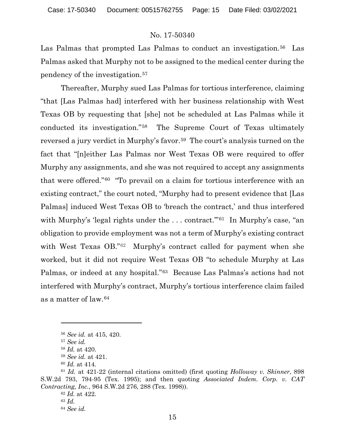Las Palmas that prompted Las Palmas to conduct an investigation.<sup>56</sup> Las Palmas asked that Murphy not to be assigned to the medical center during the pendency of the investigation.[57](#page-14-1)

Thereafter, Murphy sued Las Palmas for tortious interference, claiming "that [Las Palmas had] interfered with her business relationship with West Texas OB by requesting that [she] not be scheduled at Las Palmas while it conducted its investigation."[58](#page-14-2) The Supreme Court of Texas ultimately reversed a jury verdict in Murphy's favor.<sup>[59](#page-14-3)</sup> The court's analysis turned on the fact that "[n]either Las Palmas nor West Texas OB were required to offer Murphy any assignments, and she was not required to accept any assignments that were offered."[60](#page-14-4) "To prevail on a claim for tortious interference with an existing contract," the court noted, "Murphy had to present evidence that [Las Palmas] induced West Texas OB to 'breach the contract,' and thus interfered with Murphy's 'legal rights under the ... contract."<sup>[61](#page-14-5)</sup> In Murphy's case, "an obligation to provide employment was not a term of Murphy's existing contract with West Texas OB."<sup>[62](#page-14-6)</sup> Murphy's contract called for payment when she worked, but it did not require West Texas OB "to schedule Murphy at Las Palmas, or indeed at any hospital."[63](#page-14-7) Because Las Palmas's actions had not interfered with Murphy's contract, Murphy's tortious interference claim failed as a matter of law.[64](#page-14-8)

<sup>56</sup> *See id.* at 415, 420.

<sup>57</sup> *See id.*

<sup>58</sup> *Id.* at 420.

<sup>59</sup> *See id.* at 421.

<sup>60</sup> *Id.* at 414.

<span id="page-14-8"></span><span id="page-14-7"></span><span id="page-14-6"></span><span id="page-14-5"></span><span id="page-14-4"></span><span id="page-14-3"></span><span id="page-14-2"></span><span id="page-14-1"></span><span id="page-14-0"></span><sup>61</sup> *Id.* at 421-22 (internal citations omitted) (first quoting *Holloway v. Skinner*, 898 S.W.2d 793, 794-95 (Tex. 1995); and then quoting *Associated Indem. Corp. v. CAT Contracting, Inc.*, 964 S.W.2d 276, 288 (Tex. 1998)).

<sup>62</sup> *Id.* at 422.

<sup>63</sup> *Id.*

<sup>64</sup> *See id.*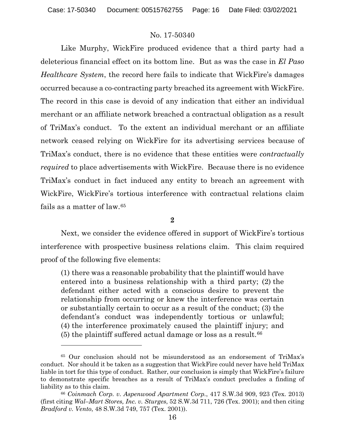Like Murphy, WickFire produced evidence that a third party had a deleterious financial effect on its bottom line. But as was the case in *El Paso Healthcare System*, the record here fails to indicate that WickFire's damages occurred because a co-contracting party breached its agreement with WickFire. The record in this case is devoid of any indication that either an individual merchant or an affiliate network breached a contractual obligation as a result of TriMax's conduct. To the extent an individual merchant or an affiliate network ceased relying on WickFire for its advertising services because of TriMax's conduct, there is no evidence that these entities were *contractually required* to place advertisements with WickFire. Because there is no evidence TriMax's conduct in fact induced any entity to breach an agreement with WickFire, WickFire's tortious interference with contractual relations claim fails as a matter of law.[65](#page-15-0)

**2**

Next, we consider the evidence offered in support of WickFire's tortious interference with prospective business relations claim. This claim required proof of the following five elements:

(1) there was a reasonable probability that the plaintiff would have entered into a business relationship with a third party; (2) the defendant either acted with a conscious desire to prevent the relationship from occurring or knew the interference was certain or substantially certain to occur as a result of the conduct; (3) the defendant's conduct was independently tortious or unlawful; (4) the interference proximately caused the plaintiff injury; and  $(5)$  the plaintiff suffered actual damage or loss as a result.<sup>[66](#page-15-1)</sup>

<span id="page-15-0"></span><sup>65</sup> Our conclusion should not be misunderstood as an endorsement of TriMax's conduct. Nor should it be taken as a suggestion that WickFire could never have held TriMax liable in tort for this type of conduct. Rather, our conclusion is simply that WickFire's failure to demonstrate specific breaches as a result of TriMax's conduct precludes a finding of liability as to this claim.

<span id="page-15-1"></span><sup>66</sup> *Coinmach Corp. v. Aspenwood Apartment Corp.*, 417 S.W.3d 909, 923 (Tex. 2013) (first citing *Wal–Mart Stores, Inc. v. Sturges*, 52 S.W.3d 711, 726 (Tex. 2001); and then citing *Bradford v. Vento*, 48 S.W.3d 749, 757 (Tex. 2001)).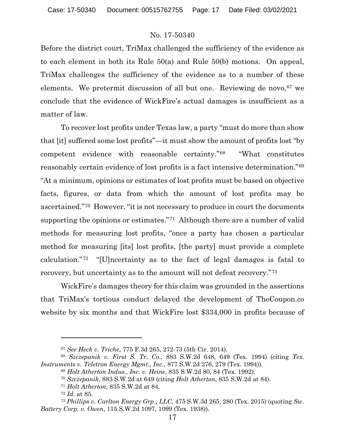Before the district court, TriMax challenged the sufficiency of the evidence as to each element in both its Rule 50(a) and Rule 50(b) motions. On appeal, TriMax challenges the sufficiency of the evidence as to a number of these elements. We pretermit discussion of all but one. Reviewing de novo, [67](#page-16-0) we conclude that the evidence of WickFire's actual damages is insufficient as a matter of law.

To recover lost profits under Texas law, a party "must do more than show that [it] suffered some lost profits"—it must show the amount of profits lost "by competent evidence with reasonable certainty."[68](#page-16-1) "What constitutes reasonably certain evidence of lost profits is a fact intensive determination."[69](#page-16-2) "At a minimum, opinions or estimates of lost profits must be based on objective facts, figures, or data from which the amount of lost profits may be ascertained."[70](#page-16-3) However, "it is not necessary to produce in court the documents supporting the opinions or estimates."[71](#page-16-4) Although there are a number of valid methods for measuring lost profits, "once a party has chosen a particular method for measuring [its] lost profits, [the party] must provide a complete calculation."[72](#page-16-5) "[U]ncertainty as to the fact of legal damages is fatal to recovery, but uncertainty as to the amount will not defeat recovery."[73](#page-16-6)

WickFire's damages theory for this claim was grounded in the assertions that TriMax's tortious conduct delayed the development of TheCoupon.co website by six months and that WickFire lost \$334,000 in profits because of

<sup>67</sup> *See Heck v. Triche*, 775 F.3d 265, 272-73 (5th Cir. 2014).

<span id="page-16-3"></span><span id="page-16-2"></span><span id="page-16-1"></span><span id="page-16-0"></span><sup>68</sup> *Szczepanik v. First S. Tr. Co*., 883 S.W.2d 648, 649 (Tex. 1994) (citing *Tex. Instruments v. Teletron Energy Mgmt., Inc.*, 877 S.W.2d 276, 279 (Tex. 1994)).

<sup>69</sup> *Holt Atherton Indus., Inc. v. Heine*, 835 S.W.2d 80, 84 (Tex. 1992).

<sup>70</sup> *Szczepanik*, 883 S.W.2d at 649 (citing *Holt Atherton*, 835 S.W.2d at 84).

<sup>71</sup> *Holt Atherton*, 835 S.W.2d at 84.

<sup>72</sup> *Id.* at 85.

<span id="page-16-6"></span><span id="page-16-5"></span><span id="page-16-4"></span><sup>73</sup> *Phillips v. Carlton Energy Grp., LLC*, 475 S.W.3d 265, 280 (Tex. 2015) (quoting *Sw. Battery Corp. v. Owen*, 115 S.W.2d 1097, 1099 (Tex. 1938)).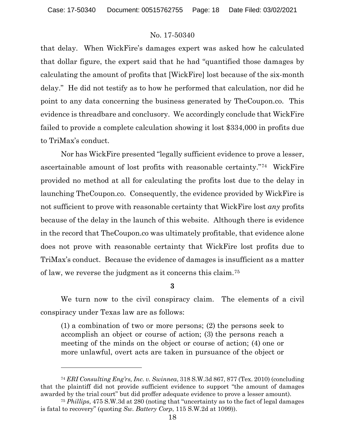that delay. When WickFire's damages expert was asked how he calculated that dollar figure, the expert said that he had "quantified those damages by calculating the amount of profits that [WickFire] lost because of the six-month delay." He did not testify as to how he performed that calculation, nor did he point to any data concerning the business generated by TheCoupon.co. This evidence is threadbare and conclusory. We accordingly conclude that WickFire failed to provide a complete calculation showing it lost \$334,000 in profits due to TriMax's conduct.

Nor has WickFire presented "legally sufficient evidence to prove a lesser, ascertainable amount of lost profits with reasonable certainty."[74](#page-17-0) WickFire provided no method at all for calculating the profits lost due to the delay in launching TheCoupon.co. Consequently, the evidence provided by WickFire is not sufficient to prove with reasonable certainty that WickFire lost *any* profits because of the delay in the launch of this website. Although there is evidence in the record that TheCoupon.co was ultimately profitable, that evidence alone does not prove with reasonable certainty that WickFire lost profits due to TriMax's conduct. Because the evidence of damages is insufficient as a matter of law, we reverse the judgment as it concerns this claim.[75](#page-17-1)

**3**

We turn now to the civil conspiracy claim. The elements of a civil conspiracy under Texas law are as follows:

(1) a combination of two or more persons; (2) the persons seek to accomplish an object or course of action; (3) the persons reach a meeting of the minds on the object or course of action; (4) one or more unlawful, overt acts are taken in pursuance of the object or

<span id="page-17-0"></span><sup>74</sup> *ERI Consulting Eng'rs, Inc. v. Swinnea*, 318 S.W.3d 867, 877 (Tex. 2010) (concluding that the plaintiff did not provide sufficient evidence to support "the amount of damages awarded by the trial court" but did proffer adequate evidence to prove a lesser amount).

<span id="page-17-1"></span><sup>75</sup> *Phillips*, 475 S.W.3d at 280 (noting that "uncertainty as to the fact of legal damages is fatal to recovery" (quoting *Sw. Battery Corp*, 115 S.W.2d at 1099)).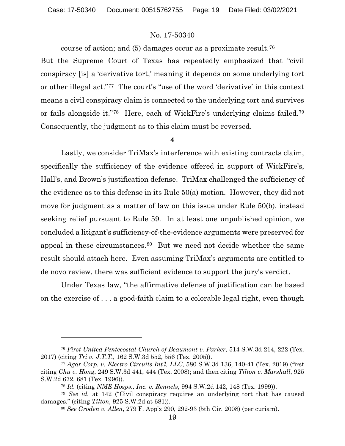course of action; and (5) damages occur as a proximate result.[76](#page-18-0)

But the Supreme Court of Texas has repeatedly emphasized that "civil conspiracy [is] a 'derivative tort,' meaning it depends on some underlying tort or other illegal act."[77](#page-18-1) The court's "use of the word 'derivative' in this context means a civil conspiracy claim is connected to the underlying tort and survives or fails alongside it."[78](#page-18-2) Here, each of WickFire's underlying claims failed[.79](#page-18-3) Consequently, the judgment as to this claim must be reversed.

#### **4**

Lastly, we consider TriMax's interference with existing contracts claim, specifically the sufficiency of the evidence offered in support of WickFire's, Hall's, and Brown's justification defense. TriMax challenged the sufficiency of the evidence as to this defense in its Rule 50(a) motion. However, they did not move for judgment as a matter of law on this issue under Rule 50(b), instead seeking relief pursuant to Rule 59. In at least one unpublished opinion, we concluded a litigant's sufficiency-of-the-evidence arguments were preserved for appeal in these circumstances.[80](#page-18-4) But we need not decide whether the same result should attach here. Even assuming TriMax's arguments are entitled to de novo review, there was sufficient evidence to support the jury's verdict.

Under Texas law, "the affirmative defense of justification can be based on the exercise of . . . a good-faith claim to a colorable legal right, even though

<span id="page-18-0"></span><sup>76</sup> *First United Pentecostal Church of Beaumont v. Parker*, 514 S.W.3d 214, 222 (Tex. 2017) (citing *Tri v. J.T.T.*, 162 S.W.3d 552, 556 (Tex. 2005)).

<span id="page-18-1"></span><sup>77</sup> *Agar Corp. v. Electro Circuits Int'l, LLC*, 580 S.W.3d 136, 140-41 (Tex. 2019) (first citing *Chu v. Hong*, 249 S.W.3d 441, 444 (Tex. 2008); and then citing *Tilton v. Marshall*, 925 S.W.2d 672, 681 (Tex. 1996)).

<sup>78</sup> *Id.* (citing *NME Hosps., Inc. v. Rennels*, 994 S.W.2d 142, 148 (Tex. 1999)).

<span id="page-18-4"></span><span id="page-18-3"></span><span id="page-18-2"></span><sup>79</sup> *See id.* at 142 ("Civil conspiracy requires an underlying tort that has caused damages." (citing *Tilton*, 925 S.W.2d at 681)).

<sup>80</sup> *See Groden v. Allen*, 279 F. App'x 290, 292-93 (5th Cir. 2008) (per curiam).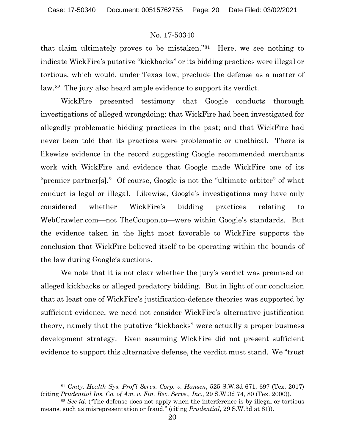that claim ultimately proves to be mistaken."[81](#page-19-0) Here, we see nothing to indicate WickFire's putative "kickbacks" or its bidding practices were illegal or tortious, which would, under Texas law, preclude the defense as a matter of law.[82](#page-19-1) The jury also heard ample evidence to support its verdict.

WickFire presented testimony that Google conducts thorough investigations of alleged wrongdoing; that WickFire had been investigated for allegedly problematic bidding practices in the past; and that WickFire had never been told that its practices were problematic or unethical. There is likewise evidence in the record suggesting Google recommended merchants work with WickFire and evidence that Google made WickFire one of its "premier partner[s]." Of course, Google is not the "ultimate arbiter" of what conduct is legal or illegal. Likewise, Google's investigations may have only considered whether WickFire's bidding practices relating to WebCrawler.com—not TheCoupon.co—were within Google's standards. But the evidence taken in the light most favorable to WickFire supports the conclusion that WickFire believed itself to be operating within the bounds of the law during Google's auctions.

We note that it is not clear whether the jury's verdict was premised on alleged kickbacks or alleged predatory bidding. But in light of our conclusion that at least one of WickFire's justification-defense theories was supported by sufficient evidence, we need not consider WickFire's alternative justification theory, namely that the putative "kickbacks" were actually a proper business development strategy. Even assuming WickFire did not present sufficient evidence to support this alternative defense, the verdict must stand. We "trust

<span id="page-19-0"></span><sup>81</sup> *Cmty. Health Sys. Prof'l Servs. Corp. v. Hansen*, 525 S.W.3d 671, 697 (Tex. 2017) (citing *Prudential Ins. Co. of Am. v. Fin. Rev. Servs., Inc.*, 29 S.W.3d 74, 80 (Tex. 2000)).

<span id="page-19-1"></span><sup>&</sup>lt;sup>82</sup> *See id.* ("The defense does not apply when the interference is by illegal or tortious means, such as misrepresentation or fraud." (citing *Prudential*, 29 S.W.3d at 81)).